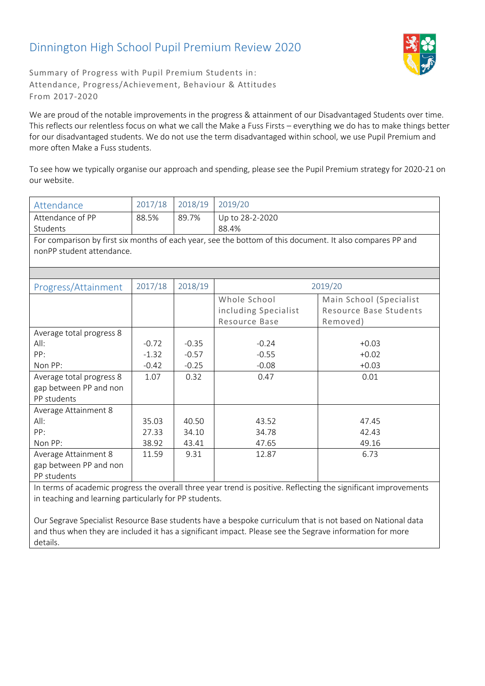# Dinnington High School Pupil Premium Review 2020



Summary of Progress with Pupil Premium Students in: Attendance, Progress/Achievement, Behaviour & Attitudes From 2017-2020

We are proud of the notable improvements in the progress & attainment of our Disadvantaged Students over time. This reflects our relentless focus on what we call the Make a Fuss Firsts – everything we do has to make things better for our disadvantaged students. We do not use the term disadvantaged within school, we use Pupil Premium and more often Make a Fuss students.

To see how we typically organise our approach and spending, please see the Pupil Premium strategy for 2020-21 on our website.

| Attendance                                                                                                | 2017/18 | 2018/19 | 2019/20              |                               |  |  |  |
|-----------------------------------------------------------------------------------------------------------|---------|---------|----------------------|-------------------------------|--|--|--|
| Attendance of PP                                                                                          | 88.5%   | 89.7%   | Up to 28-2-2020      |                               |  |  |  |
| Students                                                                                                  |         |         | 88.4%                |                               |  |  |  |
| For comparison by first six months of each year, see the bottom of this document. It also compares PP and |         |         |                      |                               |  |  |  |
| nonPP student attendance.                                                                                 |         |         |                      |                               |  |  |  |
|                                                                                                           |         |         |                      |                               |  |  |  |
|                                                                                                           |         |         |                      |                               |  |  |  |
| Progress/Attainment                                                                                       | 2017/18 | 2018/19 | 2019/20              |                               |  |  |  |
|                                                                                                           |         |         | Whole School         | Main School (Specialist       |  |  |  |
|                                                                                                           |         |         | including Specialist | <b>Resource Base Students</b> |  |  |  |
|                                                                                                           |         |         | Resource Base        | Removed)                      |  |  |  |
| Average total progress 8                                                                                  |         |         |                      |                               |  |  |  |
| All:                                                                                                      | $-0.72$ | $-0.35$ | $-0.24$              | $+0.03$                       |  |  |  |
| PP:                                                                                                       | $-1.32$ | $-0.57$ | $-0.55$<br>$+0.02$   |                               |  |  |  |
| Non PP:                                                                                                   | $-0.42$ | $-0.25$ | $-0.08$<br>$+0.03$   |                               |  |  |  |
| Average total progress 8                                                                                  | 1.07    | 0.32    | 0.47                 | 0.01                          |  |  |  |
| gap between PP and non                                                                                    |         |         |                      |                               |  |  |  |
| PP students                                                                                               |         |         |                      |                               |  |  |  |
| Average Attainment 8                                                                                      |         |         |                      |                               |  |  |  |
| All:                                                                                                      | 35.03   | 40.50   | 43.52                | 47.45                         |  |  |  |
| PP:                                                                                                       | 27.33   | 34.10   | 34.78<br>42.43       |                               |  |  |  |
| Non PP:                                                                                                   | 38.92   | 43.41   | 47.65<br>49.16       |                               |  |  |  |
| Average Attainment 8                                                                                      | 11.59   | 9.31    | 6.73<br>12.87        |                               |  |  |  |
| gap between PP and non                                                                                    |         |         |                      |                               |  |  |  |
| PP students                                                                                               |         |         |                      |                               |  |  |  |

In terms of academic progress the overall three year trend is positive. Reflecting the significant improvements in teaching and learning particularly for PP students.

Our Segrave Specialist Resource Base students have a bespoke curriculum that is not based on National data and thus when they are included it has a significant impact. Please see the Segrave information for more details.